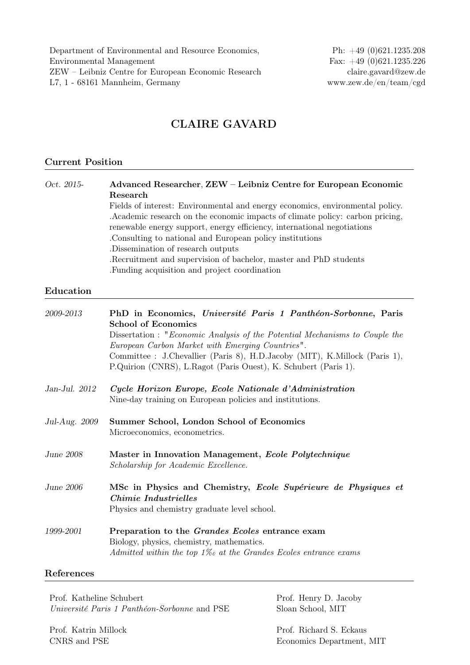Department of Environmental and Resource Economics, Ph: +49 (0)621.1235.208 Environmental Management Fax: +49 (0)621.1235.226 ZEW – Leibniz Centre for European Economic Research claire.gavard@zew.de L7, 1 - 68161 Mannheim, Germany www.zew.de/en/team/cgd

# CLAIRE GAVARD

## Current Position

Oct. 2015- Advanced Researcher, ZEW – Leibniz Centre for European Economic Research Fields of interest: Environmental and energy economics, environmental policy. .Academic research on the economic impacts of climate policy: carbon pricing, renewable energy support, energy efficiency, international negotiations .Consulting to national and European policy institutions .Dissemination of research outputs .Recruitment and supervision of bachelor, master and PhD students .Funding acquisition and project coordination

#### Education

| 2009-2013     | PhD in Economics, Université Paris 1 Panthéon-Sorbonne, Paris<br><b>School of Economics</b>                                                                        |
|---------------|--------------------------------------------------------------------------------------------------------------------------------------------------------------------|
|               | Dissertation : "Economic Analysis of the Potential Mechanisms to Couple the<br>European Carbon Market with Emerging Countries".                                    |
|               | Committee : J.Chevallier (Paris 8), H.D.Jacoby (MIT), K.Millock (Paris 1),<br>P.Quirion (CNRS), L.Ragot (Paris Ouest), K. Schubert (Paris 1).                      |
| Jan-Jul. 2012 | Cycle Horizon Europe, Ecole Nationale d'Administration<br>Nine-day training on European policies and institutions.                                                 |
| Jul-Aug. 2009 | Summer School, London School of Economics<br>Microeconomics, econometrics.                                                                                         |
| June 2008     | Master in Innovation Management, Ecole Polytechnique<br>Scholarship for Academic Excellence.                                                                       |
| June 2006     | MSc in Physics and Chemistry, Ecole Supérieure de Physiques et<br>Chimie Industrielles<br>Physics and chemistry graduate level school.                             |
| 1999-2001     | Preparation to the Grandes Ecoles entrance exam<br>Biology, physics, chemistry, mathematics.<br>Admitted within the top $1\%$ at the Grandes Ecoles entrance exams |

# References

Prof. Katheline Schubert Prof. Henry D. Jacoby Université Paris 1 Panthéon-Sorbonne and PSE Sloan School, MIT

Prof. Katrin Millock Prof. Richard S. Eckaus

CNRS and PSE Economics Department, MIT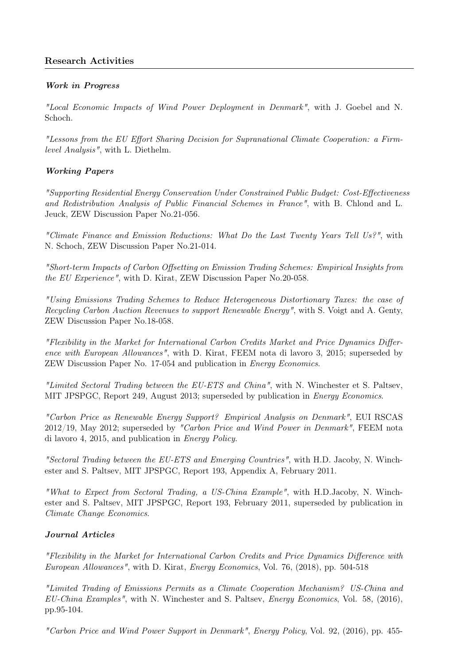# Research Activities

## Work in Progress

"Local Economic Impacts of Wind Power Deployment in Denmark", with J. Goebel and N. Schoch.

"Lessons from the EU Effort Sharing Decision for Supranational Climate Cooperation: a Firmlevel Analysis", with L. Diethelm.

## Working Papers

"Supporting Residential Energy Conservation Under Constrained Public Budget: Cost-Effectiveness and Redistribution Analysis of Public Financial Schemes in France", with B. Chlond and L. Jeuck, ZEW Discussion Paper No.21-056.

"Climate Finance and Emission Reductions: What Do the Last Twenty Years Tell Us?", with N. Schoch, ZEW Discussion Paper No.21-014.

"Short-term Impacts of Carbon Offsetting on Emission Trading Schemes: Empirical Insights from the EU Experience", with D. Kirat, ZEW Discussion Paper No.20-058.

"Using Emissions Trading Schemes to Reduce Heterogeneous Distortionary Taxes: the case of Recycling Carbon Auction Revenues to support Renewable Energy", with S. Voigt and A. Genty, ZEW Discussion Paper No.18-058.

"Flexibility in the Market for International Carbon Credits Market and Price Dynamics Difference with European Allowances", with D. Kirat, FEEM nota di lavoro 3, 2015; superseded by ZEW Discussion Paper No. 17-054 and publication in Energy Economics.

"Limited Sectoral Trading between the EU-ETS and China", with N. Winchester et S. Paltsev, MIT JPSPGC, Report 249, August 2013; superseded by publication in Energy Economics.

"Carbon Price as Renewable Energy Support? Empirical Analysis on Denmark", EUI RSCAS 2012/19, May 2012; superseded by "Carbon Price and Wind Power in Denmark", FEEM nota di lavoro 4, 2015, and publication in Energy Policy.

"Sectoral Trading between the EU-ETS and Emerging Countries", with H.D. Jacoby, N. Winchester and S. Paltsev, MIT JPSPGC, Report 193, Appendix A, February 2011.

"What to Expect from Sectoral Trading, a US-China Example", with H.D.Jacoby, N. Winchester and S. Paltsev, MIT JPSPGC, Report 193, February 2011, superseded by publication in Climate Change Economics.

## Journal Articles

"Flexibility in the Market for International Carbon Credits and Price Dynamics Difference with European Allowances", with D. Kirat, Energy Economics, Vol. 76, (2018), pp. 504-518

"Limited Trading of Emissions Permits as a Climate Cooperation Mechanism? US-China and EU-China Examples", with N. Winchester and S. Paltsev, Energy Economics, Vol. 58, (2016), pp.95-104.

"Carbon Price and Wind Power Support in Denmark", Energy Policy, Vol. 92, (2016), pp. 455-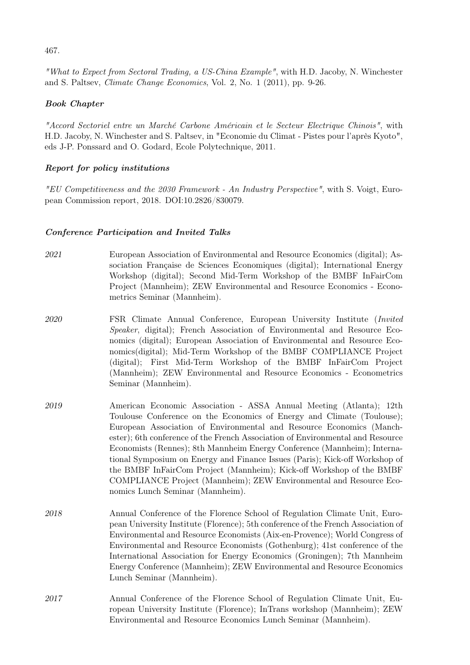467.

"What to Expect from Sectoral Trading, a US-China Example", with H.D. Jacoby, N. Winchester and S. Paltsev, Climate Change Economics, Vol. 2, No. 1 (2011), pp. 9-26.

## Book Chapter

"Accord Sectoriel entre un Marché Carbone Américain et le Secteur Electrique Chinois", with H.D. Jacoby, N. Winchester and S. Paltsev, in "Economie du Climat - Pistes pour l'après Kyoto", eds J-P. Ponssard and O. Godard, Ecole Polytechnique, 2011.

## Report for policy institutions

"EU Competitiveness and the 2030 Framework - An Industry Perspective", with S. Voigt, European Commission report, 2018. DOI:10.2826/830079.

#### Conference Participation and Invited Talks

- 2021 European Association of Environmental and Resource Economics (digital); Association Française de Sciences Economiques (digital); International Energy Workshop (digital); Second Mid-Term Workshop of the BMBF InFairCom Project (Mannheim); ZEW Environmental and Resource Economics - Econometrics Seminar (Mannheim).
- 2020 FSR Climate Annual Conference, European University Institute (Invited Speaker, digital); French Association of Environmental and Resource Economics (digital); European Association of Environmental and Resource Economics(digital); Mid-Term Workshop of the BMBF COMPLIANCE Project (digital); First Mid-Term Workshop of the BMBF InFairCom Project (Mannheim); ZEW Environmental and Resource Economics - Econometrics Seminar (Mannheim).
- 2019 American Economic Association ASSA Annual Meeting (Atlanta); 12th Toulouse Conference on the Economics of Energy and Climate (Toulouse); European Association of Environmental and Resource Economics (Manchester); 6th conference of the French Association of Environmental and Resource Economists (Rennes); 8th Mannheim Energy Conference (Mannheim); International Symposium on Energy and Finance Issues (Paris); Kick-off Workshop of the BMBF InFairCom Project (Mannheim); Kick-off Workshop of the BMBF COMPLIANCE Project (Mannheim); ZEW Environmental and Resource Economics Lunch Seminar (Mannheim).
- 2018 Annual Conference of the Florence School of Regulation Climate Unit, European University Institute (Florence); 5th conference of the French Association of Environmental and Resource Economists (Aix-en-Provence); World Congress of Environmental and Resource Economists (Gothenburg); 41st conference of the International Association for Energy Economics (Groningen); 7th Mannheim Energy Conference (Mannheim); ZEW Environmental and Resource Economics Lunch Seminar (Mannheim).
- 2017 Annual Conference of the Florence School of Regulation Climate Unit, European University Institute (Florence); InTrans workshop (Mannheim); ZEW Environmental and Resource Economics Lunch Seminar (Mannheim).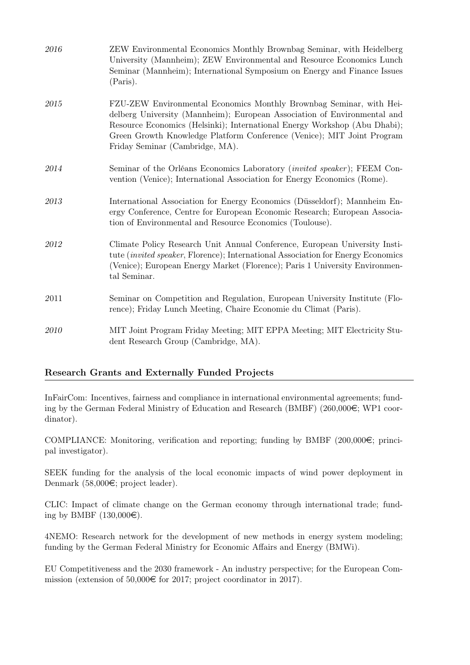| 2016 | ZEW Environmental Economics Monthly Brownbag Seminar, with Heidelberg<br>University (Mannheim); ZEW Environmental and Resource Economics Lunch<br>Seminar (Mannheim); International Symposium on Energy and Finance Issues<br>(Paris).                                                                                                    |
|------|-------------------------------------------------------------------------------------------------------------------------------------------------------------------------------------------------------------------------------------------------------------------------------------------------------------------------------------------|
| 2015 | FZU-ZEW Environmental Economics Monthly Brownbag Seminar, with Hei-<br>delberg University (Mannheim); European Association of Environmental and<br>Resource Economics (Helsinki); International Energy Workshop (Abu Dhabi);<br>Green Growth Knowledge Platform Conference (Venice); MIT Joint Program<br>Friday Seminar (Cambridge, MA). |
| 2014 | Seminar of the Orléans Economics Laboratory (invited speaker); FEEM Con-<br>vention (Venice); International Association for Energy Economics (Rome).                                                                                                                                                                                      |
| 2013 | International Association for Energy Economics (Düsseldorf); Mannheim En-<br>ergy Conference, Centre for European Economic Research; European Associa-<br>tion of Environmental and Resource Economics (Toulouse).                                                                                                                        |
| 2012 | Climate Policy Research Unit Annual Conference, European University Insti-<br>tute <i>(invited speaker, Florence)</i> ; International Association for Energy Economics<br>(Venice); European Energy Market (Florence); Paris 1 University Environmen-<br>tal Seminar.                                                                     |
| 2011 | Seminar on Competition and Regulation, European University Institute (Flo-<br>rence); Friday Lunch Meeting, Chaire Economie du Climat (Paris).                                                                                                                                                                                            |
| 2010 | MIT Joint Program Friday Meeting; MIT EPPA Meeting; MIT Electricity Stu-<br>dent Research Group (Cambridge, MA).                                                                                                                                                                                                                          |

## Research Grants and Externally Funded Projects

InFairCom: Incentives, fairness and compliance in international environmental agreements; funding by the German Federal Ministry of Education and Research (BMBF) (260,000 $\epsilon$ ; WP1 coordinator).

COMPLIANCE: Monitoring, verification and reporting; funding by BMBF (200,000 $\in$ ; principal investigator).

SEEK funding for the analysis of the local economic impacts of wind power deployment in Denmark  $(58,000\in;$  project leader).

CLIC: Impact of climate change on the German economy through international trade; funding by BMBF  $(130,000\epsilon)$ .

4NEMO: Research network for the development of new methods in energy system modeling; funding by the German Federal Ministry for Economic Affairs and Energy (BMWi).

EU Competitiveness and the 2030 framework - An industry perspective; for the European Commission (extension of 50,000 $\in$  for 2017; project coordinator in 2017).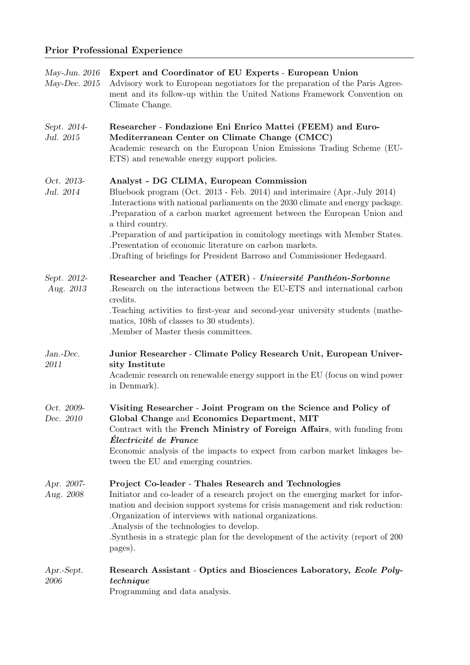| May-Jun. $2016$<br>May-Dec. $2015$ | Expert and Coordinator of EU Experts - European Union<br>Advisory work to European negotiators for the preparation of the Paris Agree-<br>ment and its follow-up within the United Nations Framework Convention on<br>Climate Change.                                                                                                                                                                                                                                                                                            |
|------------------------------------|----------------------------------------------------------------------------------------------------------------------------------------------------------------------------------------------------------------------------------------------------------------------------------------------------------------------------------------------------------------------------------------------------------------------------------------------------------------------------------------------------------------------------------|
| Sept. 2014-<br>Jul. 2015           | Researcher - Fondazione Eni Enrico Mattei (FEEM) and Euro-<br>Mediterranean Center on Climate Change (CMCC)<br>Academic research on the European Union Emissions Trading Scheme (EU-<br>ETS) and renewable energy support policies.                                                                                                                                                                                                                                                                                              |
| Oct. 2013-<br>Jul. 2014            | Analyst - DG CLIMA, European Commission<br>Bluebook program (Oct. 2013 - Feb. 2014) and interimaire (Apr.-July 2014)<br>. Interactions with national parliaments on the 2030 climate and energy package.<br>Preparation of a carbon market agreement between the European Union and<br>a third country.<br>. Preparation of and participation in comitology meetings with Member States.<br>. Presentation of economic literature on carbon markets.<br>.Drafting of briefings for President Barroso and Commissioner Hedegaard. |
| Sept. 2012-<br>Aug. 2013           | Researcher and Teacher (ATER) - Université Panthéon-Sorbonne<br>Research on the interactions between the EU-ETS and international carbon.<br>credits.<br>Teaching activities to first-year and second-year university students (mathe-<br>matics, 108h of classes to 30 students).<br>.Member of Master thesis committees.                                                                                                                                                                                                       |
| Jan.-Dec.<br>2011                  | Junior Researcher - Climate Policy Research Unit, European Univer-<br>sity Institute<br>Academic research on renewable energy support in the EU (focus on wind power<br>in Denmark).                                                                                                                                                                                                                                                                                                                                             |
| Oct. 2009-<br>Dec. 2010            | Visiting Researcher - Joint Program on the Science and Policy of<br>Global Change and Economics Department, MIT<br>Contract with the French Ministry of Foreign Affairs, with funding from<br>Electricité de France<br>Economic analysis of the impacts to expect from carbon market linkages be-<br>tween the EU and emerging countries.                                                                                                                                                                                        |
| Apr. 2007-<br>Aug. 2008            | Project Co-leader - Thales Research and Technologies<br>Initiator and co-leader of a research project on the emerging market for infor-<br>mation and decision support systems for crisis management and risk reduction:<br>Organization of interviews with national organizations.<br>. Analysis of the technologies to develop.<br>Synthesis in a strategic plan for the development of the activity (report of 200<br>pages).                                                                                                 |
| Apr.-Sept.<br>2006                 | Research Assistant - Optics and Biosciences Laboratory, Ecole Poly-<br>technique<br>Programming and data analysis.                                                                                                                                                                                                                                                                                                                                                                                                               |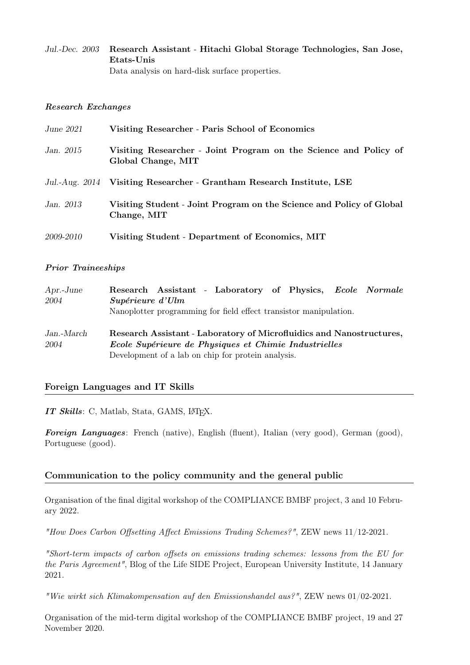## Jul.-Dec. 2003 Research Assistant - Hitachi Global Storage Technologies, San Jose, Etats-Unis Data analysis on hard-disk surface properties.

#### Research Exchanges

| June 2021 | Visiting Researcher - Paris School of Economics                                        |
|-----------|----------------------------------------------------------------------------------------|
| Jan. 2015 | Visiting Researcher - Joint Program on the Science and Policy of<br>Global Change, MIT |
|           | Jul.-Aug. 2014 Visiting Researcher - Grantham Research Institute, LSE                  |
| Jan. 2013 | Visiting Student - Joint Program on the Science and Policy of Global<br>Change, MIT    |
| 2009-2010 | Visiting Student - Department of Economics, MIT                                        |

#### Prior Traineeships

| $Apr.-June$        | Research Assistant - Laboratory of Physics, Ecole Normale                                                                                                                           |
|--------------------|-------------------------------------------------------------------------------------------------------------------------------------------------------------------------------------|
| 2004               | Supérieure d'Ulm<br>Nanoplotter programming for field effect transistor manipulation.                                                                                               |
| Jan.-March<br>2004 | Research Assistant - Laboratory of Microfluidics and Nanostructures,<br>Ecole Supérieure de Physiques et Chimie Industrielles<br>Development of a lab on chip for protein analysis. |

## Foreign Languages and IT Skills

IT Skills: C, Matlab, Stata, GAMS, LATEX.

Foreign Languages: French (native), English (fluent), Italian (very good), German (good), Portuguese (good).

## Communication to the policy community and the general public

Organisation of the final digital workshop of the COMPLIANCE BMBF project, 3 and 10 February 2022.

"How Does Carbon Offsetting Affect Emissions Trading Schemes?", ZEW news 11/12-2021.

"Short-term impacts of carbon offsets on emissions trading schemes: lessons from the EU for the Paris Agreement", Blog of the Life SIDE Project, European University Institute, 14 January 2021.

"Wie wirkt sich Klimakompensation auf den Emissionshandel aus?", ZEW news 01/02-2021.

Organisation of the mid-term digital workshop of the COMPLIANCE BMBF project, 19 and 27 November 2020.